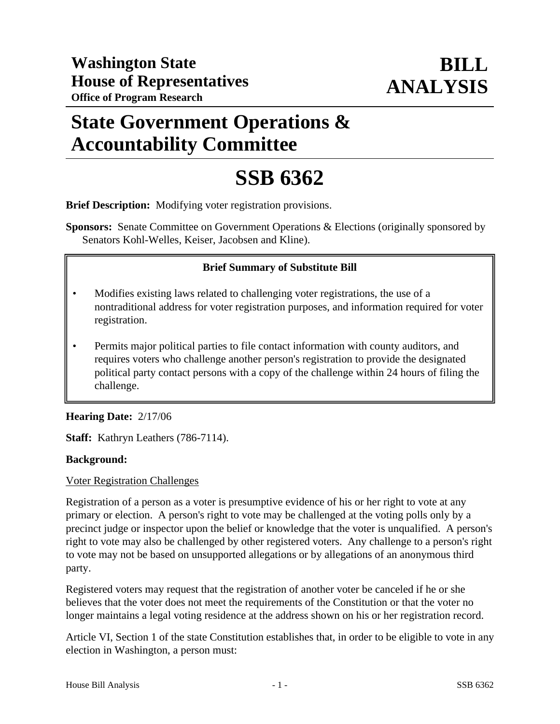# **State Government Operations & Accountability Committee**

# **SSB 6362**

**Brief Description:** Modifying voter registration provisions.

**Sponsors:** Senate Committee on Government Operations & Elections (originally sponsored by Senators Kohl-Welles, Keiser, Jacobsen and Kline).

# **Brief Summary of Substitute Bill**

- Modifies existing laws related to challenging voter registrations, the use of a nontraditional address for voter registration purposes, and information required for voter registration.
- Permits major political parties to file contact information with county auditors, and requires voters who challenge another person's registration to provide the designated political party contact persons with a copy of the challenge within 24 hours of filing the challenge.

# **Hearing Date:** 2/17/06

**Staff:** Kathryn Leathers (786-7114).

#### **Background:**

#### Voter Registration Challenges

Registration of a person as a voter is presumptive evidence of his or her right to vote at any primary or election. A person's right to vote may be challenged at the voting polls only by a precinct judge or inspector upon the belief or knowledge that the voter is unqualified. A person's right to vote may also be challenged by other registered voters. Any challenge to a person's right to vote may not be based on unsupported allegations or by allegations of an anonymous third party.

Registered voters may request that the registration of another voter be canceled if he or she believes that the voter does not meet the requirements of the Constitution or that the voter no longer maintains a legal voting residence at the address shown on his or her registration record.

Article VI, Section 1 of the state Constitution establishes that, in order to be eligible to vote in any election in Washington, a person must: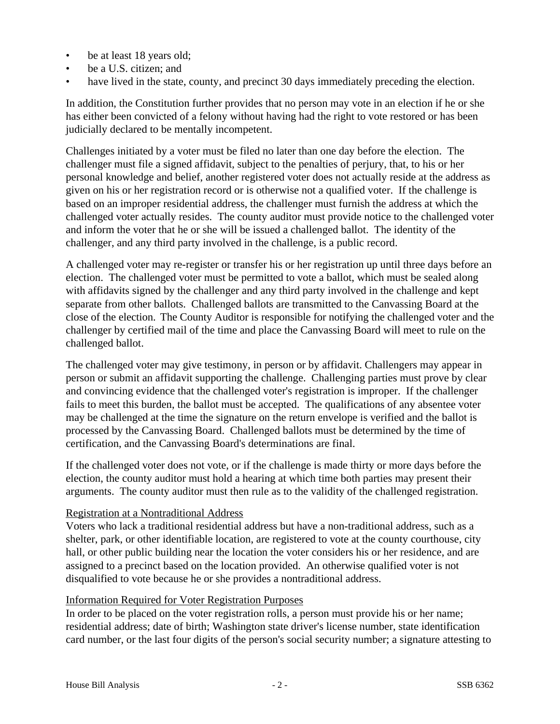- be at least 18 years old;
- be a U.S. citizen; and
- have lived in the state, county, and precinct 30 days immediately preceding the election.

In addition, the Constitution further provides that no person may vote in an election if he or she has either been convicted of a felony without having had the right to vote restored or has been judicially declared to be mentally incompetent.

Challenges initiated by a voter must be filed no later than one day before the election. The challenger must file a signed affidavit, subject to the penalties of perjury, that, to his or her personal knowledge and belief, another registered voter does not actually reside at the address as given on his or her registration record or is otherwise not a qualified voter. If the challenge is based on an improper residential address, the challenger must furnish the address at which the challenged voter actually resides. The county auditor must provide notice to the challenged voter and inform the voter that he or she will be issued a challenged ballot. The identity of the challenger, and any third party involved in the challenge, is a public record.

A challenged voter may re-register or transfer his or her registration up until three days before an election. The challenged voter must be permitted to vote a ballot, which must be sealed along with affidavits signed by the challenger and any third party involved in the challenge and kept separate from other ballots. Challenged ballots are transmitted to the Canvassing Board at the close of the election. The County Auditor is responsible for notifying the challenged voter and the challenger by certified mail of the time and place the Canvassing Board will meet to rule on the challenged ballot.

The challenged voter may give testimony, in person or by affidavit. Challengers may appear in person or submit an affidavit supporting the challenge. Challenging parties must prove by clear and convincing evidence that the challenged voter's registration is improper. If the challenger fails to meet this burden, the ballot must be accepted. The qualifications of any absentee voter may be challenged at the time the signature on the return envelope is verified and the ballot is processed by the Canvassing Board. Challenged ballots must be determined by the time of certification, and the Canvassing Board's determinations are final.

If the challenged voter does not vote, or if the challenge is made thirty or more days before the election, the county auditor must hold a hearing at which time both parties may present their arguments. The county auditor must then rule as to the validity of the challenged registration.

#### Registration at a Nontraditional Address

Voters who lack a traditional residential address but have a non-traditional address, such as a shelter, park, or other identifiable location, are registered to vote at the county courthouse, city hall, or other public building near the location the voter considers his or her residence, and are assigned to a precinct based on the location provided. An otherwise qualified voter is not disqualified to vote because he or she provides a nontraditional address.

#### Information Required for Voter Registration Purposes

In order to be placed on the voter registration rolls, a person must provide his or her name; residential address; date of birth; Washington state driver's license number, state identification card number, or the last four digits of the person's social security number; a signature attesting to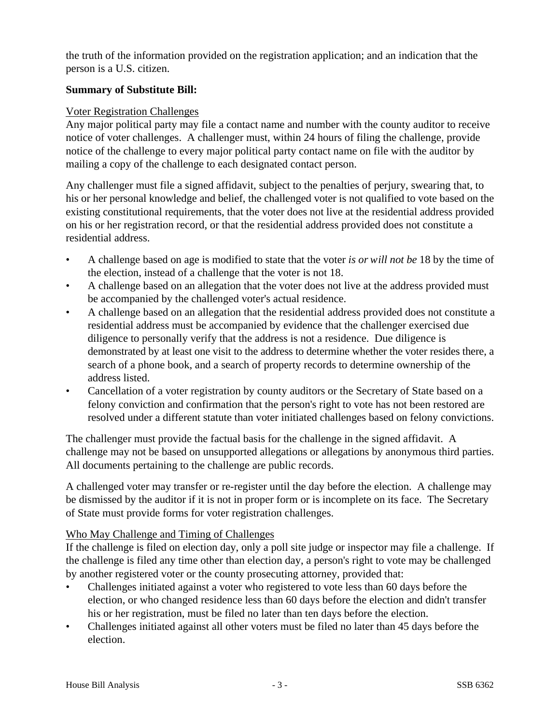the truth of the information provided on the registration application; and an indication that the person is a U.S. citizen.

# **Summary of Substitute Bill:**

#### Voter Registration Challenges

Any major political party may file a contact name and number with the county auditor to receive notice of voter challenges. A challenger must, within 24 hours of filing the challenge, provide notice of the challenge to every major political party contact name on file with the auditor by mailing a copy of the challenge to each designated contact person.

Any challenger must file a signed affidavit, subject to the penalties of perjury, swearing that, to his or her personal knowledge and belief, the challenged voter is not qualified to vote based on the existing constitutional requirements, that the voter does not live at the residential address provided on his or her registration record, or that the residential address provided does not constitute a residential address.

- A challenge based on age is modified to state that the voter *is or will not be* 18 by the time of the election, instead of a challenge that the voter is not 18.
- A challenge based on an allegation that the voter does not live at the address provided must be accompanied by the challenged voter's actual residence.
- A challenge based on an allegation that the residential address provided does not constitute a residential address must be accompanied by evidence that the challenger exercised due diligence to personally verify that the address is not a residence. Due diligence is demonstrated by at least one visit to the address to determine whether the voter resides there, a search of a phone book, and a search of property records to determine ownership of the address listed.
- Cancellation of a voter registration by county auditors or the Secretary of State based on a felony conviction and confirmation that the person's right to vote has not been restored are resolved under a different statute than voter initiated challenges based on felony convictions.

The challenger must provide the factual basis for the challenge in the signed affidavit. A challenge may not be based on unsupported allegations or allegations by anonymous third parties. All documents pertaining to the challenge are public records.

A challenged voter may transfer or re-register until the day before the election. A challenge may be dismissed by the auditor if it is not in proper form or is incomplete on its face. The Secretary of State must provide forms for voter registration challenges.

#### Who May Challenge and Timing of Challenges

If the challenge is filed on election day, only a poll site judge or inspector may file a challenge. If the challenge is filed any time other than election day, a person's right to vote may be challenged by another registered voter or the county prosecuting attorney, provided that:

- Challenges initiated against a voter who registered to vote less than 60 days before the election, or who changed residence less than 60 days before the election and didn't transfer his or her registration, must be filed no later than ten days before the election.
- Challenges initiated against all other voters must be filed no later than 45 days before the election.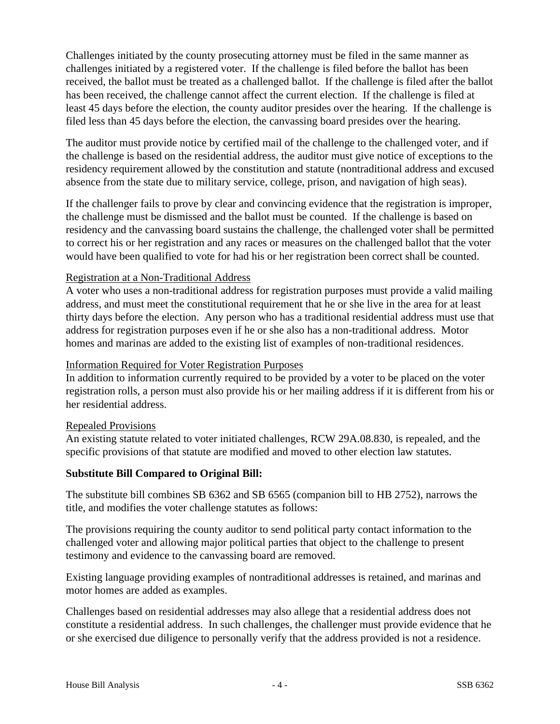Challenges initiated by the county prosecuting attorney must be filed in the same manner as challenges initiated by a registered voter. If the challenge is filed before the ballot has been received, the ballot must be treated as a challenged ballot. If the challenge is filed after the ballot has been received, the challenge cannot affect the current election. If the challenge is filed at least 45 days before the election, the county auditor presides over the hearing. If the challenge is filed less than 45 days before the election, the canvassing board presides over the hearing.

The auditor must provide notice by certified mail of the challenge to the challenged voter, and if the challenge is based on the residential address, the auditor must give notice of exceptions to the residency requirement allowed by the constitution and statute (nontraditional address and excused absence from the state due to military service, college, prison, and navigation of high seas).

If the challenger fails to prove by clear and convincing evidence that the registration is improper, the challenge must be dismissed and the ballot must be counted. If the challenge is based on residency and the canvassing board sustains the challenge, the challenged voter shall be permitted to correct his or her registration and any races or measures on the challenged ballot that the voter would have been qualified to vote for had his or her registration been correct shall be counted.

# Registration at a Non-Traditional Address

A voter who uses a non-traditional address for registration purposes must provide a valid mailing address, and must meet the constitutional requirement that he or she live in the area for at least thirty days before the election. Any person who has a traditional residential address must use that address for registration purposes even if he or she also has a non-traditional address. Motor homes and marinas are added to the existing list of examples of non-traditional residences.

# Information Required for Voter Registration Purposes

In addition to information currently required to be provided by a voter to be placed on the voter registration rolls, a person must also provide his or her mailing address if it is different from his or her residential address.

# Repealed Provisions

An existing statute related to voter initiated challenges, RCW 29A.08.830, is repealed, and the specific provisions of that statute are modified and moved to other election law statutes.

# **Substitute Bill Compared to Original Bill:**

The substitute bill combines SB 6362 and SB 6565 (companion bill to HB 2752), narrows the title, and modifies the voter challenge statutes as follows:

The provisions requiring the county auditor to send political party contact information to the challenged voter and allowing major political parties that object to the challenge to present testimony and evidence to the canvassing board are removed.

Existing language providing examples of nontraditional addresses is retained, and marinas and motor homes are added as examples.

Challenges based on residential addresses may also allege that a residential address does not constitute a residential address. In such challenges, the challenger must provide evidence that he or she exercised due diligence to personally verify that the address provided is not a residence.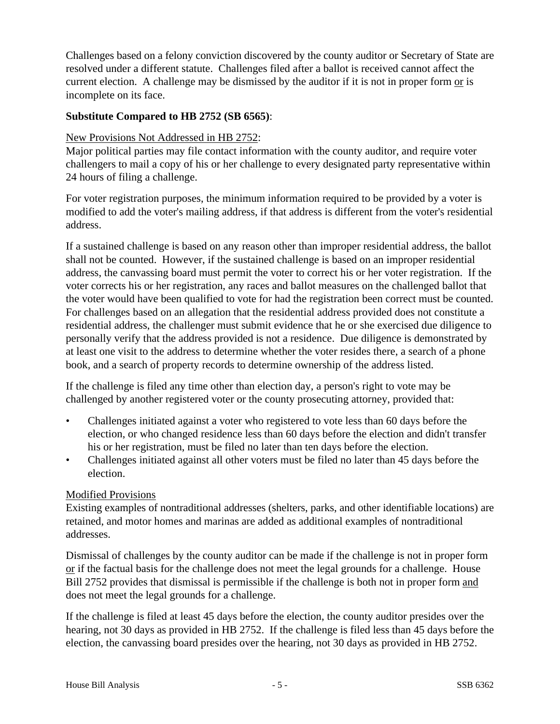Challenges based on a felony conviction discovered by the county auditor or Secretary of State are resolved under a different statute. Challenges filed after a ballot is received cannot affect the current election. A challenge may be dismissed by the auditor if it is not in proper form or is incomplete on its face.

### **Substitute Compared to HB 2752 (SB 6565)**:

#### New Provisions Not Addressed in HB 2752:

Major political parties may file contact information with the county auditor, and require voter challengers to mail a copy of his or her challenge to every designated party representative within 24 hours of filing a challenge.

For voter registration purposes, the minimum information required to be provided by a voter is modified to add the voter's mailing address, if that address is different from the voter's residential address.

If a sustained challenge is based on any reason other than improper residential address, the ballot shall not be counted. However, if the sustained challenge is based on an improper residential address, the canvassing board must permit the voter to correct his or her voter registration. If the voter corrects his or her registration, any races and ballot measures on the challenged ballot that the voter would have been qualified to vote for had the registration been correct must be counted. For challenges based on an allegation that the residential address provided does not constitute a residential address, the challenger must submit evidence that he or she exercised due diligence to personally verify that the address provided is not a residence. Due diligence is demonstrated by at least one visit to the address to determine whether the voter resides there, a search of a phone book, and a search of property records to determine ownership of the address listed.

If the challenge is filed any time other than election day, a person's right to vote may be challenged by another registered voter or the county prosecuting attorney, provided that:

- Challenges initiated against a voter who registered to vote less than 60 days before the election, or who changed residence less than 60 days before the election and didn't transfer his or her registration, must be filed no later than ten days before the election.
- Challenges initiated against all other voters must be filed no later than 45 days before the election.

# Modified Provisions

Existing examples of nontraditional addresses (shelters, parks, and other identifiable locations) are retained, and motor homes and marinas are added as additional examples of nontraditional addresses.

Dismissal of challenges by the county auditor can be made if the challenge is not in proper form or if the factual basis for the challenge does not meet the legal grounds for a challenge. House Bill 2752 provides that dismissal is permissible if the challenge is both not in proper form and does not meet the legal grounds for a challenge.

If the challenge is filed at least 45 days before the election, the county auditor presides over the hearing, not 30 days as provided in HB 2752. If the challenge is filed less than 45 days before the election, the canvassing board presides over the hearing, not 30 days as provided in HB 2752.